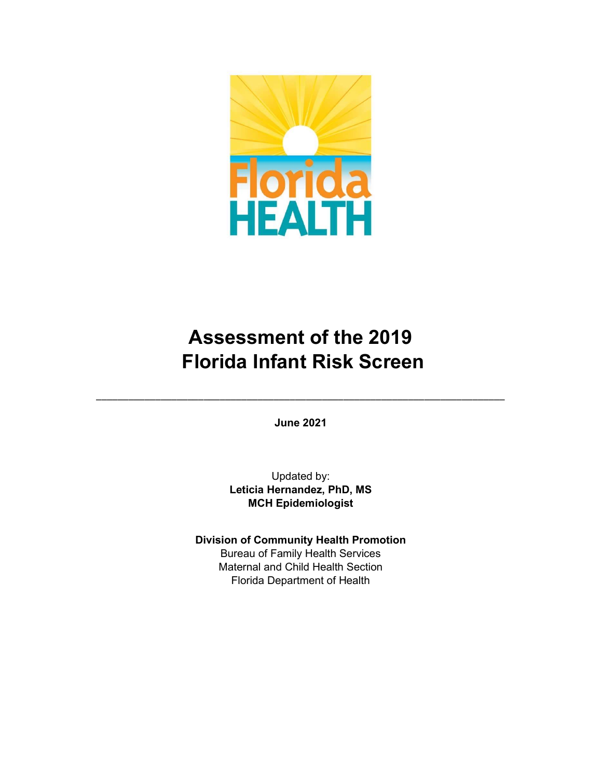

# Assessment of the 2019 Florida Infant Risk Screen

June 2021

\_\_\_\_\_\_\_\_\_\_\_\_\_\_\_\_\_\_\_\_\_\_\_\_\_\_\_\_\_\_\_\_\_\_\_\_\_\_\_\_\_\_\_\_\_\_\_\_\_\_\_\_\_\_\_\_\_\_\_\_\_\_\_\_\_\_\_\_\_\_\_\_\_\_\_\_

Updated by: Leticia Hernandez, PhD, MS MCH Epidemiologist

Division of Community Health Promotion Bureau of Family Health Services Maternal and Child Health Section Florida Department of Health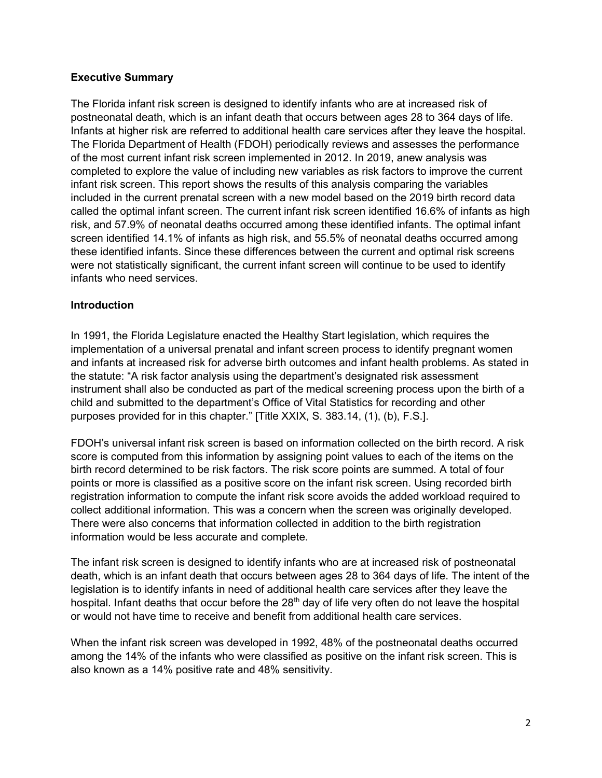#### Executive Summary

The Florida infant risk screen is designed to identify infants who are at increased risk of postneonatal death, which is an infant death that occurs between ages 28 to 364 days of life. Infants at higher risk are referred to additional health care services after they leave the hospital. The Florida Department of Health (FDOH) periodically reviews and assesses the performance of the most current infant risk screen implemented in 2012. In 2019, anew analysis was completed to explore the value of including new variables as risk factors to improve the current infant risk screen. This report shows the results of this analysis comparing the variables included in the current prenatal screen with a new model based on the 2019 birth record data called the optimal infant screen. The current infant risk screen identified 16.6% of infants as high risk, and 57.9% of neonatal deaths occurred among these identified infants. The optimal infant screen identified 14.1% of infants as high risk, and 55.5% of neonatal deaths occurred among these identified infants. Since these differences between the current and optimal risk screens were not statistically significant, the current infant screen will continue to be used to identify infants who need services.

#### **Introduction**

In 1991, the Florida Legislature enacted the Healthy Start legislation, which requires the implementation of a universal prenatal and infant screen process to identify pregnant women and infants at increased risk for adverse birth outcomes and infant health problems. As stated in the statute: "A risk factor analysis using the department's designated risk assessment instrument shall also be conducted as part of the medical screening process upon the birth of a child and submitted to the department's Office of Vital Statistics for recording and other purposes provided for in this chapter." [Title XXIX, S. 383.14, (1), (b), F.S.].

FDOH's universal infant risk screen is based on information collected on the birth record. A risk score is computed from this information by assigning point values to each of the items on the birth record determined to be risk factors. The risk score points are summed. A total of four points or more is classified as a positive score on the infant risk screen. Using recorded birth registration information to compute the infant risk score avoids the added workload required to collect additional information. This was a concern when the screen was originally developed. There were also concerns that information collected in addition to the birth registration information would be less accurate and complete.

The infant risk screen is designed to identify infants who are at increased risk of postneonatal death, which is an infant death that occurs between ages 28 to 364 days of life. The intent of the legislation is to identify infants in need of additional health care services after they leave the hospital. Infant deaths that occur before the 28<sup>th</sup> day of life very often do not leave the hospital or would not have time to receive and benefit from additional health care services.

When the infant risk screen was developed in 1992, 48% of the postneonatal deaths occurred among the 14% of the infants who were classified as positive on the infant risk screen. This is also known as a 14% positive rate and 48% sensitivity.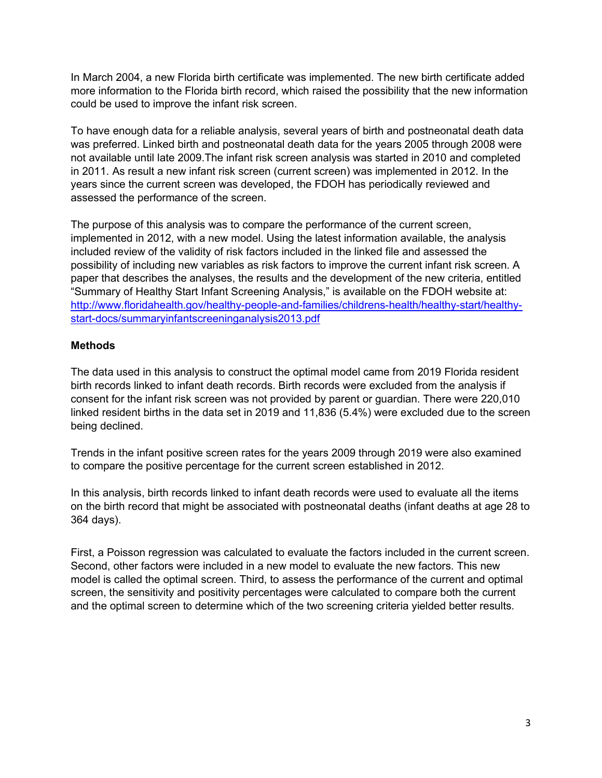In March 2004, a new Florida birth certificate was implemented. The new birth certificate added more information to the Florida birth record, which raised the possibility that the new information could be used to improve the infant risk screen.

To have enough data for a reliable analysis, several years of birth and postneonatal death data was preferred. Linked birth and postneonatal death data for the years 2005 through 2008 were not available until late 2009.The infant risk screen analysis was started in 2010 and completed in 2011. As result a new infant risk screen (current screen) was implemented in 2012. In the years since the current screen was developed, the FDOH has periodically reviewed and assessed the performance of the screen.

The purpose of this analysis was to compare the performance of the current screen, implemented in 2012, with a new model. Using the latest information available, the analysis included review of the validity of risk factors included in the linked file and assessed the possibility of including new variables as risk factors to improve the current infant risk screen. A paper that describes the analyses, the results and the development of the new criteria, entitled "Summary of Healthy Start Infant Screening Analysis," is available on the FDOH website at: http://www.floridahealth.gov/healthy-people-and-families/childrens-health/healthy-start/healthystart-docs/summaryinfantscreeninganalysis2013.pdf

#### **Methods**

The data used in this analysis to construct the optimal model came from 2019 Florida resident birth records linked to infant death records. Birth records were excluded from the analysis if consent for the infant risk screen was not provided by parent or guardian. There were 220,010 linked resident births in the data set in 2019 and 11,836 (5.4%) were excluded due to the screen being declined.

Trends in the infant positive screen rates for the years 2009 through 2019 were also examined to compare the positive percentage for the current screen established in 2012.

In this analysis, birth records linked to infant death records were used to evaluate all the items on the birth record that might be associated with postneonatal deaths (infant deaths at age 28 to 364 days).

First, a Poisson regression was calculated to evaluate the factors included in the current screen. Second, other factors were included in a new model to evaluate the new factors. This new model is called the optimal screen. Third, to assess the performance of the current and optimal screen, the sensitivity and positivity percentages were calculated to compare both the current and the optimal screen to determine which of the two screening criteria yielded better results.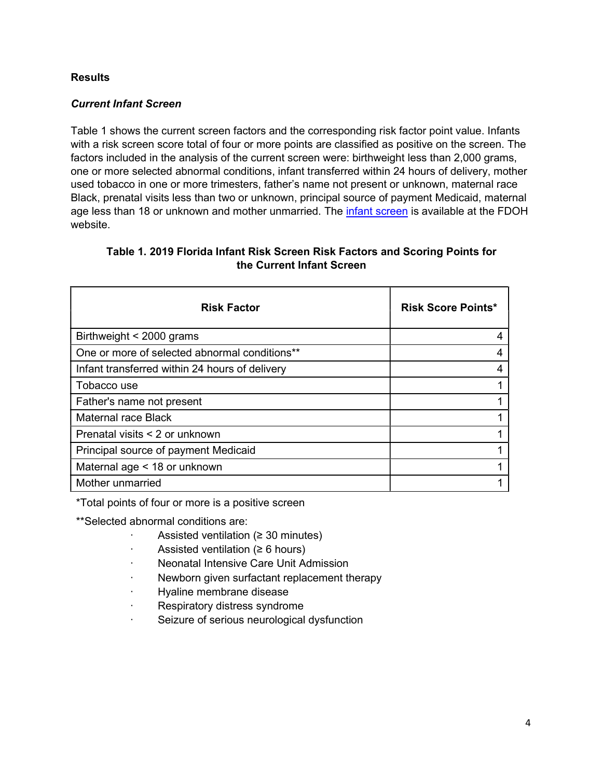#### **Results**

## Current Infant Screen

Table 1 shows the current screen factors and the corresponding risk factor point value. Infants with a risk screen score total of four or more points are classified as positive on the screen. The factors included in the analysis of the current screen were: birthweight less than 2,000 grams, one or more selected abnormal conditions, infant transferred within 24 hours of delivery, mother used tobacco in one or more trimesters, father's name not present or unknown, maternal race Black, prenatal visits less than two or unknown, principal source of payment Medicaid, maternal age less than 18 or unknown and mother unmarried. The infant screen is available at the FDOH website.

## Table 1. 2019 Florida Infant Risk Screen Risk Factors and Scoring Points for the Current Infant Screen

| <b>Risk Factor</b>                             | <b>Risk Score Points*</b> |
|------------------------------------------------|---------------------------|
| Birthweight < 2000 grams                       |                           |
| One or more of selected abnormal conditions**  |                           |
| Infant transferred within 24 hours of delivery |                           |
| Tobacco use                                    |                           |
| Father's name not present                      |                           |
| Maternal race Black                            |                           |
| Prenatal visits < 2 or unknown                 |                           |
| Principal source of payment Medicaid           |                           |
| Maternal age < 18 or unknown                   |                           |
| Mother unmarried                               |                           |

\*Total points of four or more is a positive screen

\*\*Selected abnormal conditions are:

- Assisted ventilation ( $\geq$  30 minutes)
- · Assisted ventilation (≥ 6 hours)
- · Neonatal Intensive Care Unit Admission
- Newborn given surfactant replacement therapy
- · Hyaline membrane disease
- Respiratory distress syndrome
- · Seizure of serious neurological dysfunction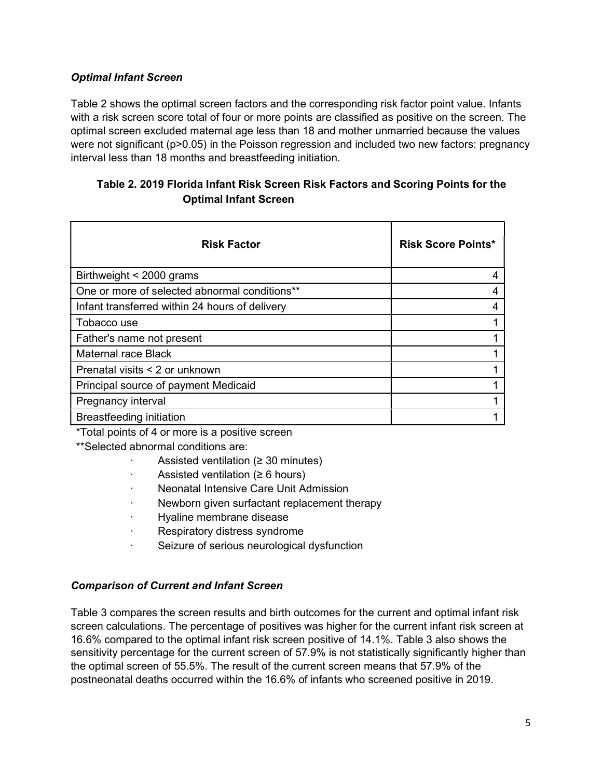## Optimal Infant Screen

Table 2 shows the optimal screen factors and the corresponding risk factor point value. Infants with a risk screen score total of four or more points are classified as positive on the screen. The optimal screen excluded maternal age less than 18 and mother unmarried because the values were not significant (p>0.05) in the Poisson regression and included two new factors: pregnancy interval less than 18 months and breastfeeding initiation.

# Table 2. 2019 Florida Infant Risk Screen Risk Factors and Scoring Points for the Optimal Infant Screen

| <b>Risk Factor</b>                             | <b>Risk Score Points*</b> |
|------------------------------------------------|---------------------------|
| Birthweight < 2000 grams                       |                           |
| One or more of selected abnormal conditions**  |                           |
| Infant transferred within 24 hours of delivery |                           |
| Tobacco use                                    |                           |
| Father's name not present                      |                           |
| <b>Maternal race Black</b>                     |                           |
| Prenatal visits < 2 or unknown                 |                           |
| Principal source of payment Medicaid           |                           |
| Pregnancy interval                             |                           |
| Breastfeeding initiation                       |                           |

\*Total points of 4 or more is a positive screen

\*\*Selected abnormal conditions are:

- Assisted ventilation ( $\geq$  30 minutes)
- · Assisted ventilation (≥ 6 hours)
- · Neonatal Intensive Care Unit Admission
- Newborn given surfactant replacement therapy
- · Hyaline membrane disease
- Respiratory distress syndrome
- Seizure of serious neurological dysfunction

# Comparison of Current and Infant Screen

Table 3 compares the screen results and birth outcomes for the current and optimal infant risk screen calculations. The percentage of positives was higher for the current infant risk screen at 16.6% compared to the optimal infant risk screen positive of 14.1%. Table 3 also shows the sensitivity percentage for the current screen of 57.9% is not statistically significantly higher than the optimal screen of 55.5%. The result of the current screen means that 57.9% of the postneonatal deaths occurred within the 16.6% of infants who screened positive in 2019.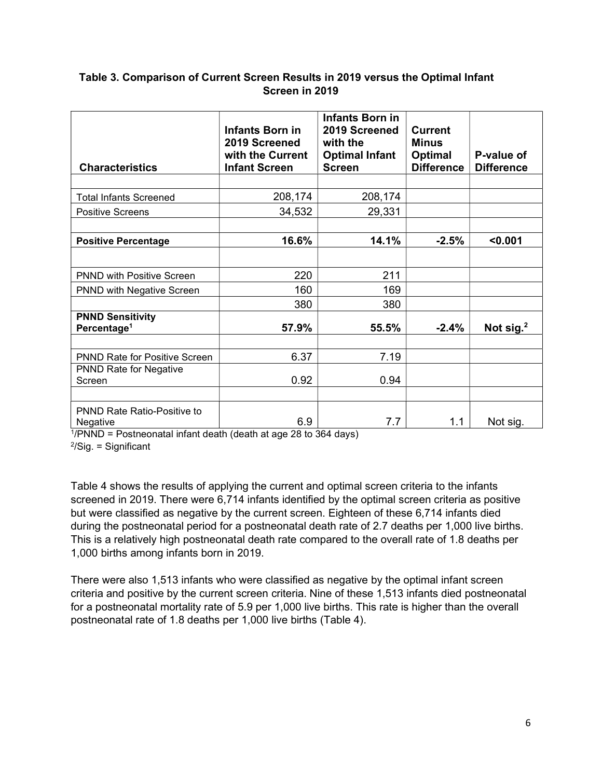#### Table 3. Comparison of Current Screen Results in 2019 versus the Optimal Infant Screen in 2019

| <b>Characteristics</b>                             | <b>Infants Born in</b><br>2019 Screened<br>with the Current<br><b>Infant Screen</b> | <b>Infants Born in</b><br>2019 Screened<br>with the<br><b>Optimal Infant</b><br><b>Screen</b> | Current<br><b>Minus</b><br><b>Optimal</b><br><b>Difference</b> | P-value of<br><b>Difference</b> |
|----------------------------------------------------|-------------------------------------------------------------------------------------|-----------------------------------------------------------------------------------------------|----------------------------------------------------------------|---------------------------------|
|                                                    |                                                                                     |                                                                                               |                                                                |                                 |
| <b>Total Infants Screened</b>                      | 208,174                                                                             | 208,174                                                                                       |                                                                |                                 |
| <b>Positive Screens</b>                            | 34,532                                                                              | 29,331                                                                                        |                                                                |                                 |
|                                                    |                                                                                     |                                                                                               |                                                                |                                 |
| <b>Positive Percentage</b>                         | 16.6%                                                                               | 14.1%                                                                                         | $-2.5%$                                                        | < 0.001                         |
|                                                    |                                                                                     |                                                                                               |                                                                |                                 |
| <b>PNND with Positive Screen</b>                   | 220                                                                                 | 211                                                                                           |                                                                |                                 |
| <b>PNND with Negative Screen</b>                   | 160                                                                                 | 169                                                                                           |                                                                |                                 |
|                                                    | 380                                                                                 | 380                                                                                           |                                                                |                                 |
| <b>PNND Sensitivity</b><br>Percentage <sup>1</sup> | 57.9%                                                                               | 55.5%                                                                                         | $-2.4%$                                                        | Not sig. $2$                    |
|                                                    |                                                                                     |                                                                                               |                                                                |                                 |
| <b>PNND Rate for Positive Screen</b>               | 6.37                                                                                | 7.19                                                                                          |                                                                |                                 |
| <b>PNND Rate for Negative</b><br>Screen            | 0.92                                                                                | 0.94                                                                                          |                                                                |                                 |
|                                                    |                                                                                     |                                                                                               |                                                                |                                 |
| <b>PNND Rate Ratio-Positive to</b><br>Negative     | 6.9                                                                                 | 7.7                                                                                           | 1.1                                                            | Not sig.                        |

1 /PNND = Postneonatal infant death (death at age 28 to 364 days)

2 /Sig. = Significant

Table 4 shows the results of applying the current and optimal screen criteria to the infants screened in 2019. There were 6,714 infants identified by the optimal screen criteria as positive but were classified as negative by the current screen. Eighteen of these 6,714 infants died during the postneonatal period for a postneonatal death rate of 2.7 deaths per 1,000 live births. This is a relatively high postneonatal death rate compared to the overall rate of 1.8 deaths per 1,000 births among infants born in 2019.

There were also 1,513 infants who were classified as negative by the optimal infant screen criteria and positive by the current screen criteria. Nine of these 1,513 infants died postneonatal for a postneonatal mortality rate of 5.9 per 1,000 live births. This rate is higher than the overall postneonatal rate of 1.8 deaths per 1,000 live births (Table 4).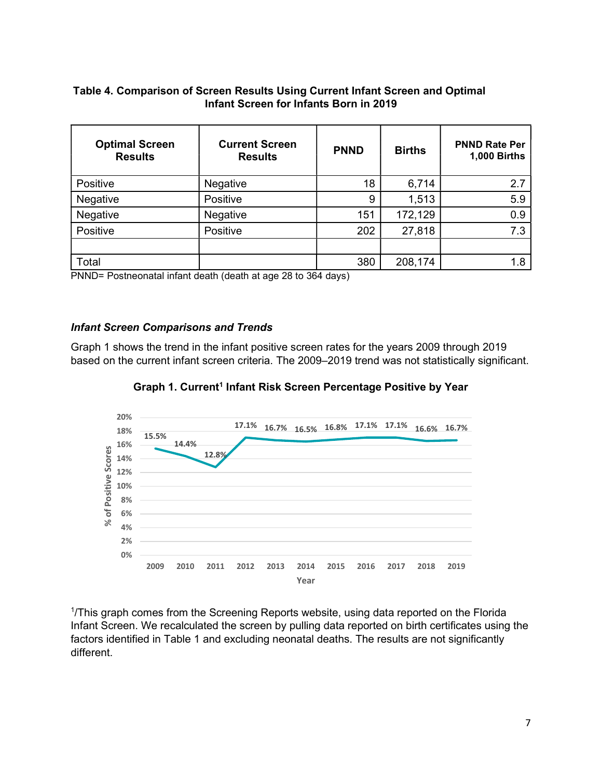# Table 4. Comparison of Screen Results Using Current Infant Screen and Optimal Infant Screen for Infants Born in 2019

| 6,714<br>18<br>2.7<br>Positive<br>Negative<br>9<br>5.9<br>1,513<br>Positive<br>Negative<br>172,129<br>Negative<br>151<br>0.9<br>Negative<br>7.3<br>Positive<br>27,818<br>Positive<br>202<br>Total<br>380<br>208,174<br>1.8<br>based on the current infant screen criteria. The 2009-2019 trend was not statistically significant. | PNND= Postneonatal infant death (death at age 28 to 364 days)                                                                              |
|-----------------------------------------------------------------------------------------------------------------------------------------------------------------------------------------------------------------------------------------------------------------------------------------------------------------------------------|--------------------------------------------------------------------------------------------------------------------------------------------|
|                                                                                                                                                                                                                                                                                                                                   |                                                                                                                                            |
|                                                                                                                                                                                                                                                                                                                                   |                                                                                                                                            |
|                                                                                                                                                                                                                                                                                                                                   |                                                                                                                                            |
|                                                                                                                                                                                                                                                                                                                                   |                                                                                                                                            |
|                                                                                                                                                                                                                                                                                                                                   |                                                                                                                                            |
|                                                                                                                                                                                                                                                                                                                                   | <b>Infant Screen Comparisons and Trends</b><br>Graph 1 shows the trend in the infant positive screen rates for the years 2009 through 2019 |

#### Infant Screen Comparisons and Trends





1 /This graph comes from the Screening Reports website, using data reported on the Florida Infant Screen. We recalculated the screen by pulling data reported on birth certificates using the factors identified in Table 1 and excluding neonatal deaths. The results are not significantly different.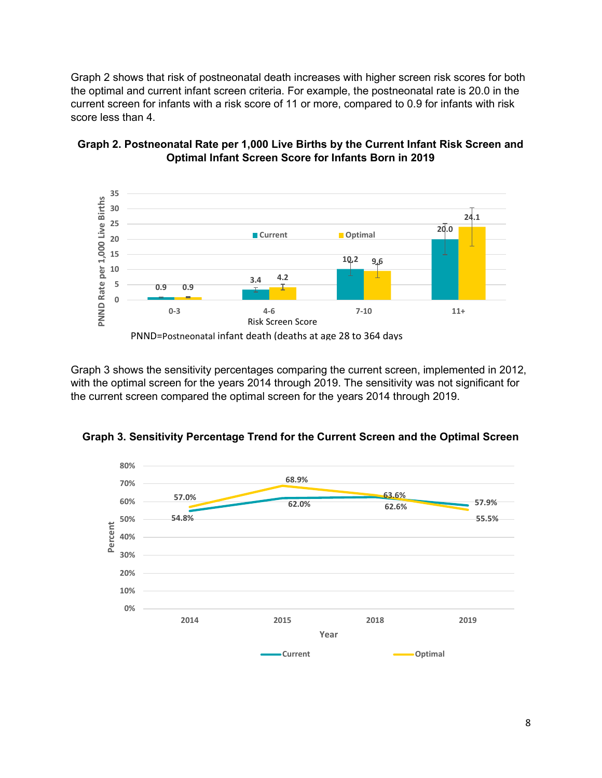Graph 2 shows that risk of postneonatal death increases with higher screen risk scores for both the optimal and current infant screen criteria. For example, the postneonatal rate is 20.0 in the current screen for infants with a risk score of 11 or more, compared to 0.9 for infants with risk score less than 4.





Graph 3 shows the sensitivity percentages comparing the current screen, implemented in 2012, with the optimal screen for the years 2014 through 2019. The sensitivity was not significant for the current screen compared the optimal screen for the years 2014 through 2019.



Graph 3. Sensitivity Percentage Trend for the Current Screen and the Optimal Screen